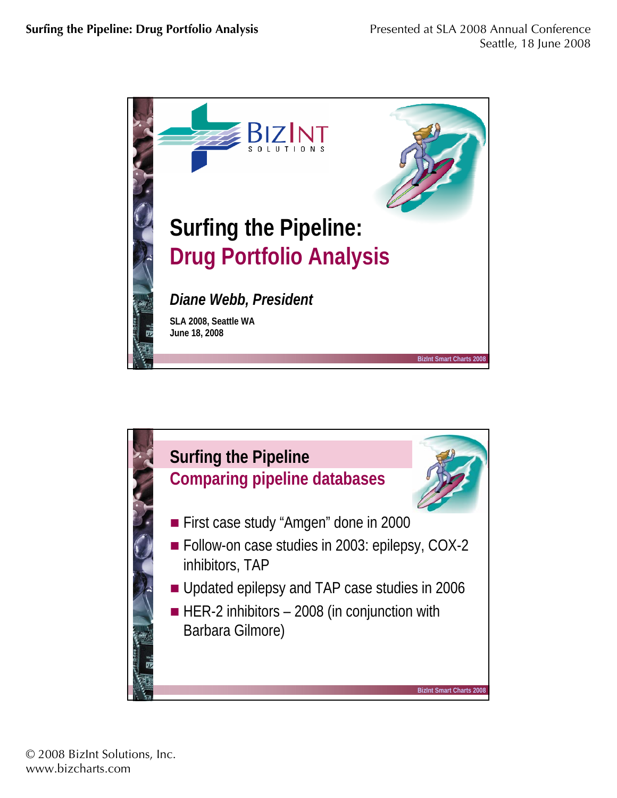

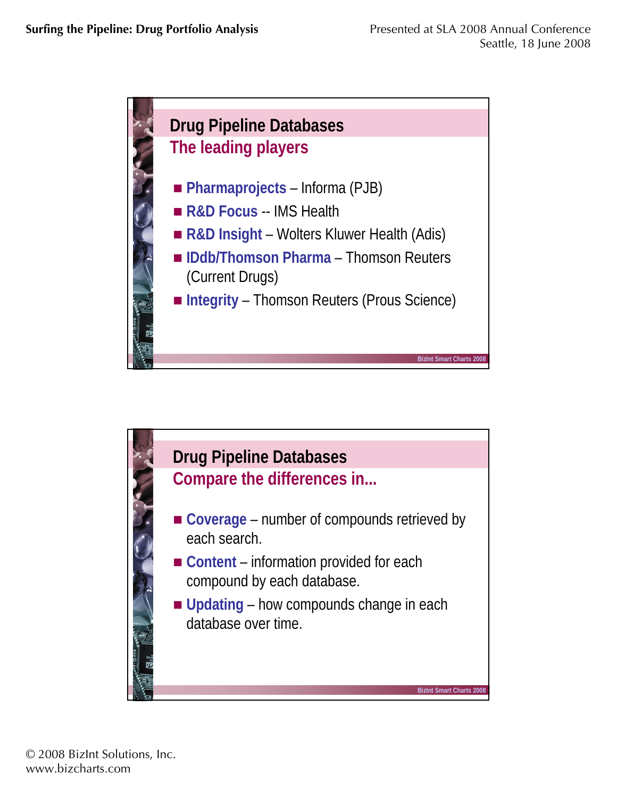

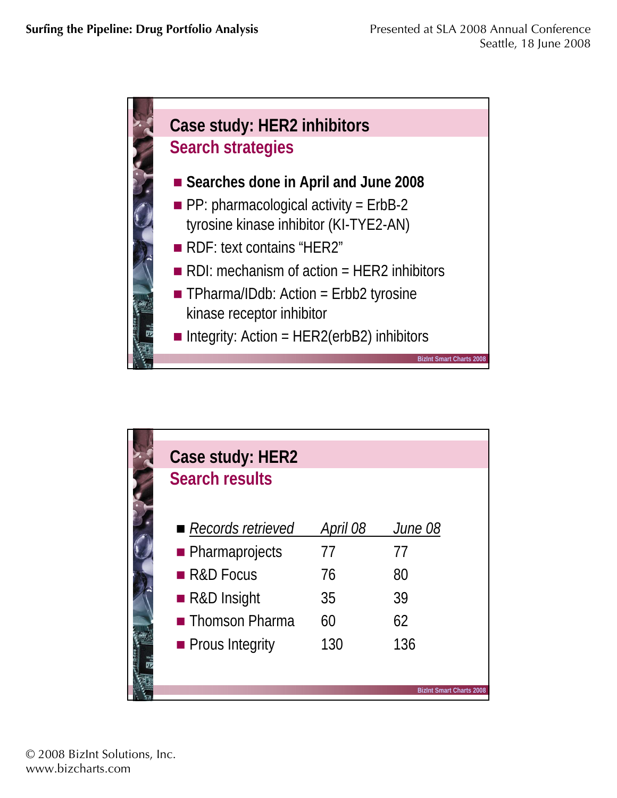

| Case study: HER2      |          |                                 |
|-----------------------|----------|---------------------------------|
| <b>Search results</b> |          |                                 |
|                       |          |                                 |
| Records retrieved     | April 08 | June 08                         |
| • Pharmaprojects      | 77       | 77                              |
| R&D Focus             | 76       | 80                              |
| ■ R&D Insight         | 35       | 39                              |
| <b>Thomson Pharma</b> | 60       | 62                              |
| • Prous Integrity     | 130      | 136                             |
|                       |          |                                 |
|                       |          | <b>BizInt Smart Charts 2008</b> |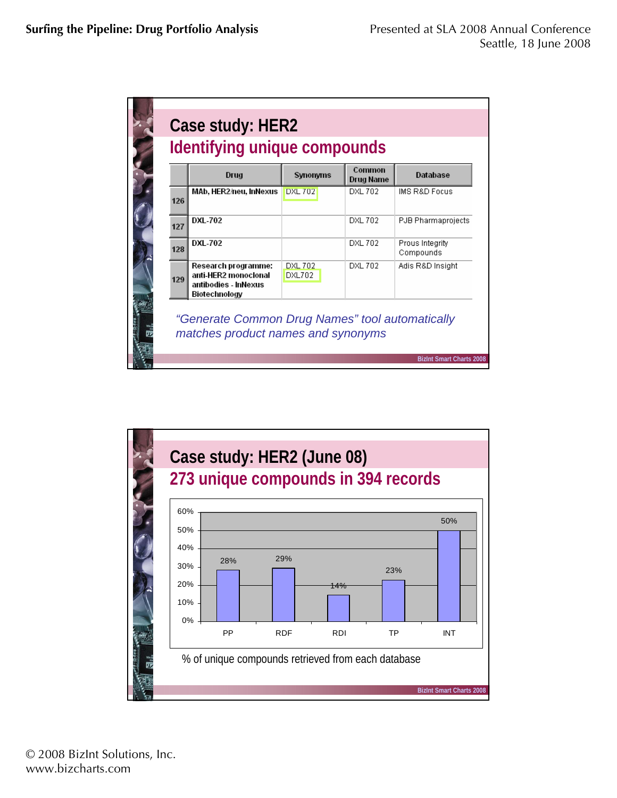|     | Drug                                                                                 | Synonyms                 | Common<br><b>Drug Name</b> | <b>Database</b>              |
|-----|--------------------------------------------------------------------------------------|--------------------------|----------------------------|------------------------------|
| 126 | MAb, HER2/neu, InNexus                                                               | <b>DXL 702</b>           | <b>DXL 702</b>             | <b>IMS R&amp;D Focus</b>     |
| 127 | <b>DXL-702</b>                                                                       |                          | <b>DXL 702</b>             | PJB Pharmaprojects           |
| 128 | <b>DXL-702</b>                                                                       |                          | <b>DXL 702</b>             | Prous Integrity<br>Compounds |
| 129 | Research programme:<br>anti-HER2 monoclonal<br>antibodies - InNexus<br>Biotechnology | <b>DXL 702</b><br>DXL702 | DXL 702                    | Adis R&D Insight             |

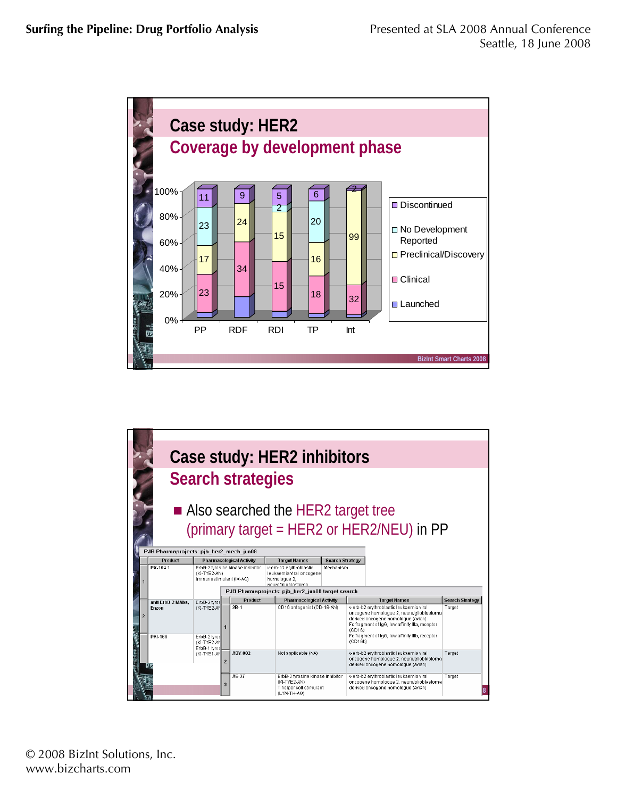

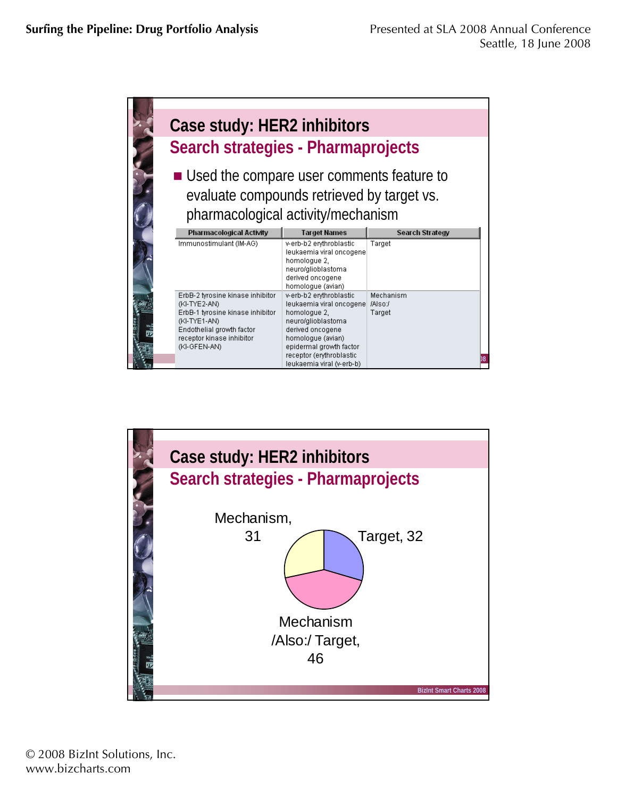

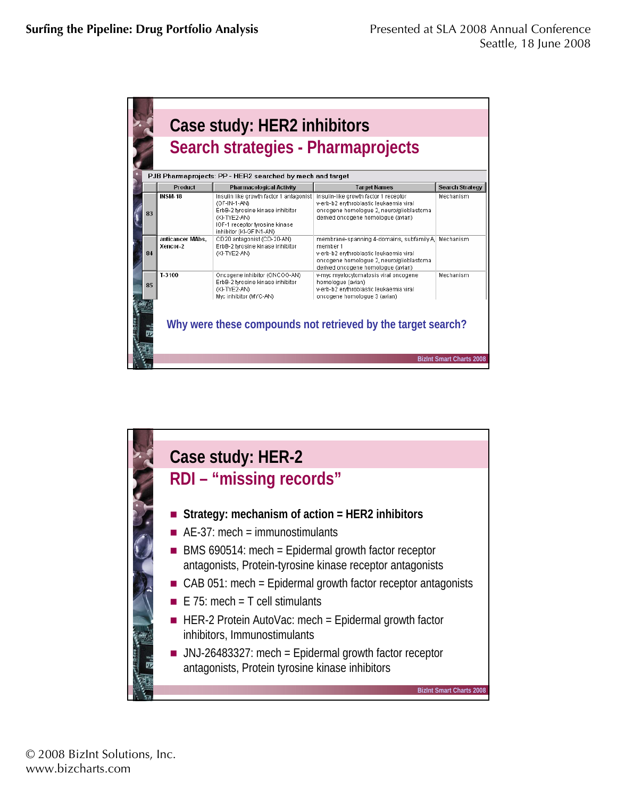| PJB Pharmaprojects: PP - HER2 searched by mech and target |                              |                                                                                                                                                                          |                                                                                                                                                                                              |                        |  |  |  |
|-----------------------------------------------------------|------------------------------|--------------------------------------------------------------------------------------------------------------------------------------------------------------------------|----------------------------------------------------------------------------------------------------------------------------------------------------------------------------------------------|------------------------|--|--|--|
|                                                           | <b>Product</b>               | <b>Pharmacological Activity</b>                                                                                                                                          | <b>Target Names</b>                                                                                                                                                                          | <b>Search Strategy</b> |  |  |  |
| 83                                                        | <b>INSM-18</b>               | Insulin like growth factor 1 antagonist<br>(GF-IN-1-AN)<br>ErbB-2 tyrosine kinase inhibitor<br>(KI-TYE2-AN)<br>IGF-1 receptor tyrosine kinase<br>inhibitor (KI-GFIN1-AN) | insulin-like growth factor 1 receptor<br>v-erb-b2 erythroblastic leukaemia viral<br>oncogene homologue 2, neuro/glioblastoma<br>derived oncogene homologue (avian)                           | Mechanism              |  |  |  |
| 84                                                        | anticancer MAbs.<br>Xencor 2 | CD20 antagonist (CD-20-AN)<br>ErbB-2 tyrosine kinase inhibitor<br>(KI-TYE2-AN)                                                                                           | membrane-spanning 4-domains, subfamily A. Mechanism<br>member 1<br>v-erb-b2 erythroblastic leukaemia viral<br>oncogene homologue 2, neuro/glioblastoma<br>derived oncogene homologue (avian) |                        |  |  |  |
| 85                                                        | T-3100                       | Oncogene inhibitor (ONCOG-AN)<br>ErbB-2 tyrosine kinase inhibitor<br>(KI-TYE2-AN)<br>Myc inhibitor (MYC-AN)                                                              | v-myc myelocytomatosis viral oncogene<br>homologue (avian)<br>v-erb-b2 erythroblastic leukaemia viral<br>oncogene homologue 3 (avian)                                                        | Mechanism              |  |  |  |

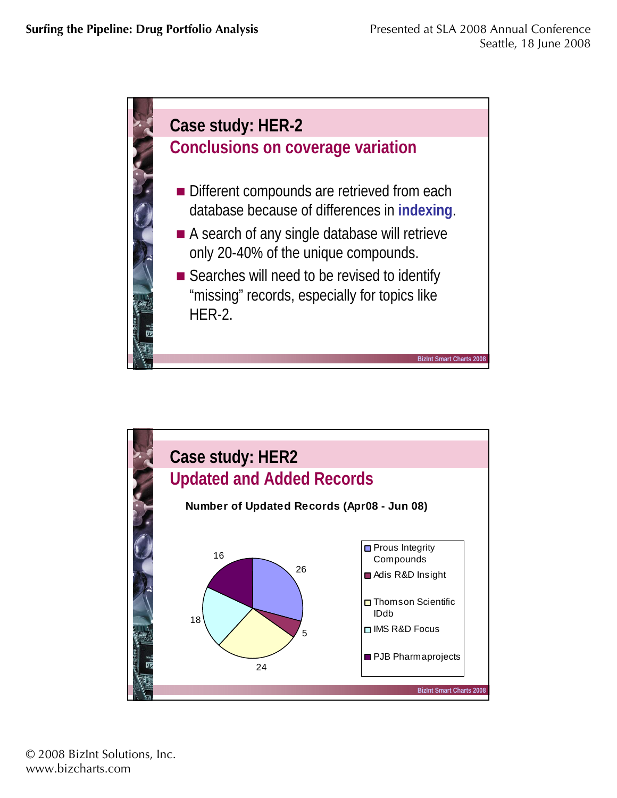

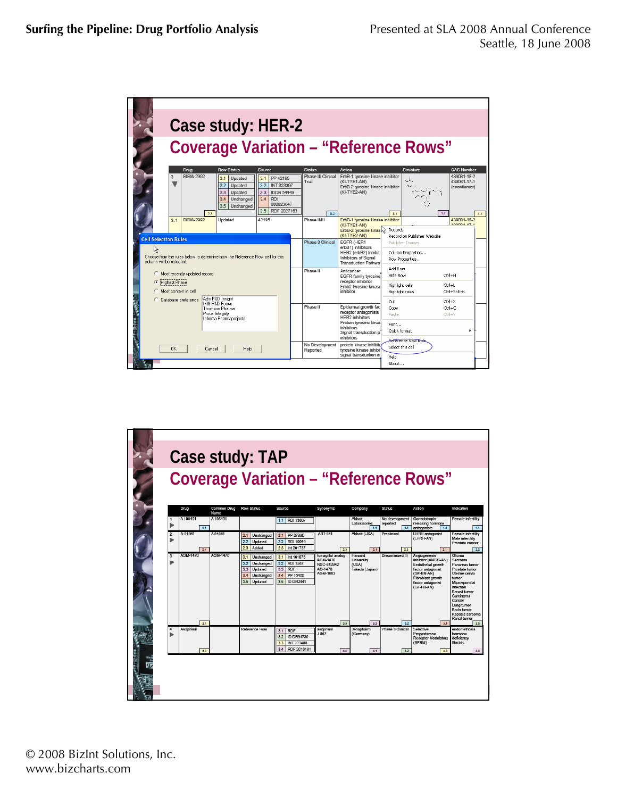